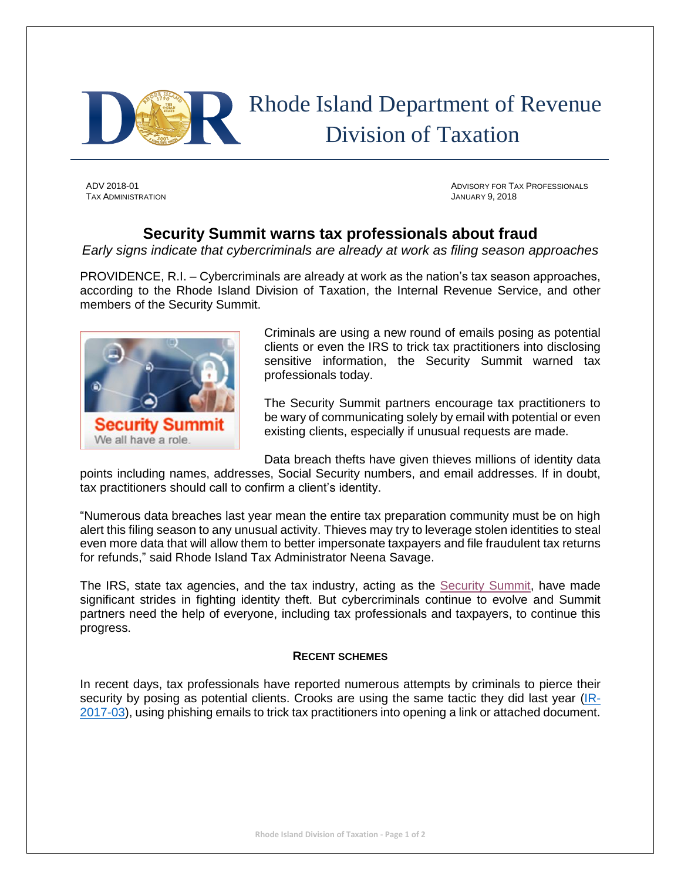

 Rhode Island Department of Revenue Division of Taxation

TAX ADMINISTRATION JANUARY 9, 2018

ADV 2018-01 ADVISORY FOR TAX PROFESSIONALS

## **Security Summit warns tax professionals about fraud**

*Early signs indicate that cybercriminals are already at work as filing season approaches*

PROVIDENCE, R.I. – Cybercriminals are already at work as the nation's tax season approaches, according to the Rhode Island Division of Taxation, the Internal Revenue Service, and other members of the Security Summit.



Criminals are using a new round of emails posing as potential clients or even the IRS to trick tax practitioners into disclosing sensitive information, the Security Summit warned tax professionals today.

The Security Summit partners encourage tax practitioners to be wary of communicating solely by email with potential or even existing clients, especially if unusual requests are made.

Data breach thefts have given thieves millions of identity data

points including names, addresses, Social Security numbers, and email addresses. If in doubt, tax practitioners should call to confirm a client's identity.

"Numerous data breaches last year mean the entire tax preparation community must be on high alert this filing season to any unusual activity. Thieves may try to leverage stolen identities to steal even more data that will allow them to better impersonate taxpayers and file fraudulent tax returns for refunds," said Rhode Island Tax Administrator Neena Savage.

The IRS, state tax agencies, and the tax industry, acting as the [Security Summit,](https://www.irs.gov/privacy-disclosure/security-summit) have made significant strides in fighting identity theft. But cybercriminals continue to evolve and Summit partners need the help of everyone, including tax professionals and taxpayers, to continue this progress.

## **RECENT SCHEMES**

In recent days, tax professionals have reported numerous attempts by criminals to pierce their security by posing as potential clients. Crooks are using the same tactic they did last year [\(IR-](https://www.irs.gov/newsroom/security-summit-alert-new-two-stage-email-scheme-targets-tax-professionals)[2017-03\)](https://www.irs.gov/newsroom/security-summit-alert-new-two-stage-email-scheme-targets-tax-professionals), using phishing emails to trick tax practitioners into opening a link or attached document.